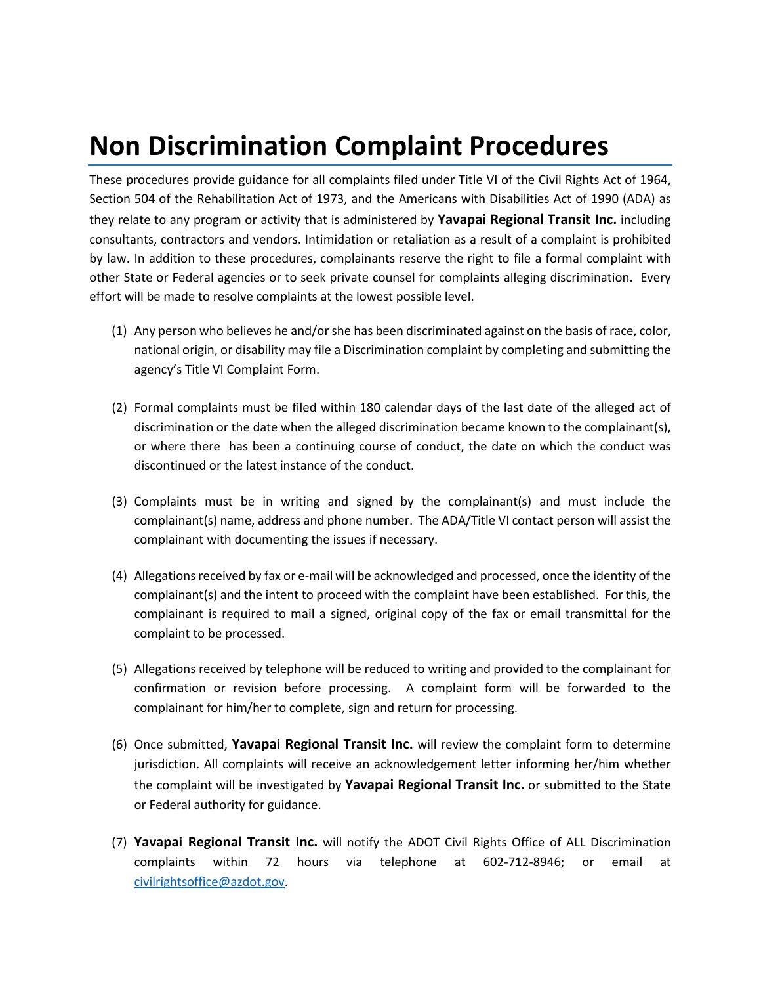## **Non Discrimination Complaint Procedures**

These procedures provide guidance for all complaints filed under Title VI of the Civil Rights Act of 1964, Section 504 of the Rehabilitation Act of 1973, and the Americans with Disabilities Act of 1990 (ADA) as they relate to any program or activity that is administered by **Yavapai Regional Transit Inc.** including consultants, contractors and vendors. Intimidation or retaliation as a result of a complaint is prohibited by law. In addition to these procedures, complainants reserve the right to file a formal complaint with other State or Federal agencies or to seek private counsel for complaints alleging discrimination. Every effort will be made to resolve complaints at the lowest possible level.

- (1) Any person who believes he and/or she has been discriminated against on the basis of race, color, national origin, or disability may file a Discrimination complaint by completing and submitting the agency's Title VI Complaint Form.
- (2) Formal complaints must be filed within 180 calendar days of the last date of the alleged act of discrimination or the date when the alleged discrimination became known to the complainant(s), or where there has been a continuing course of conduct, the date on which the conduct was discontinued or the latest instance of the conduct.
- (3) Complaints must be in writing and signed by the complainant(s) and must include the complainant(s) name, address and phone number. The ADA/Title VI contact person will assist the complainant with documenting the issues if necessary.
- (4) Allegations received by fax or e-mail will be acknowledged and processed, once the identity of the complainant(s) and the intent to proceed with the complaint have been established. For this, the complainant is required to mail a signed, original copy of the fax or email transmittal for the complaint to be processed.
- (5) Allegations received by telephone will be reduced to writing and provided to the complainant for confirmation or revision before processing. A complaint form will be forwarded to the complainant for him/her to complete, sign and return for processing.
- (6) Once submitted, **Yavapai Regional Transit Inc.** will review the complaint form to determine jurisdiction. All complaints will receive an acknowledgement letter informing her/him whether the complaint will be investigated by **Yavapai Regional Transit Inc.** or submitted to the State or Federal authority for guidance.
- (7) **Yavapai Regional Transit Inc.** will notify the ADOT Civil Rights Office of ALL Discrimination complaints within 72 hours via telephone at 602-712-8946; or email at [civilrightsoffice@azdot.gov.](mailto:civilrightsoffice@azdot.gov)